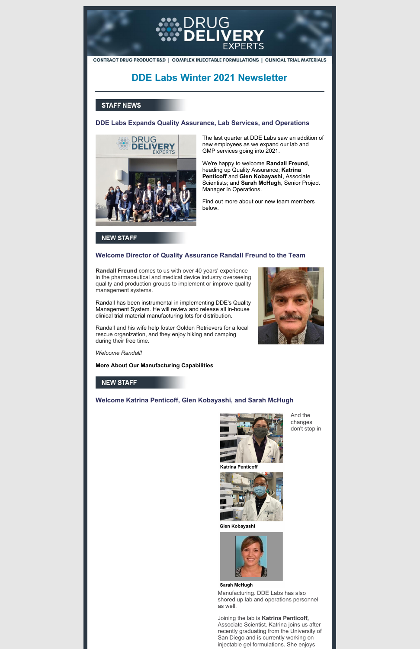

CONTRACT DRUG PRODUCT R&D | COMPLEX INJECTABLE FORMULATIONS | CLINICAL TRIAL MATERIALS

# **DDE Labs Winter 2021 Newsletter**

## **STAFF NEWS**

## **DDE Labs Expands Quality Assurance, Lab Services, and Operations**



The last quarter at DDE Labs saw an addition of new employees as we expand our lab and GMP services going into 2021.

We're happy to welcome **Randall Freund**, heading up Quality Assurance; **Katrina Penticoff** and **Glen Kobayashi**, Associate Scientists; and **Sarah McHugh**, Senior Project Manager in Operations.

Find out more about our new team members below.

## **NEW STAFF**

## **Welcome Director of Quality Assurance Randall Freund to the Team**

**Randall Freund** comes to us with over 40 years' experience in the pharmaceutical and medical device industry overseeing quality and production groups to implement or improve quality management systems.

Randall has been instrumental in implementing DDE's Quality Management System. He will review and release all in-house clinical trial material manufacturing lots for distribution.

Randall and his wife help foster Golden Retrievers for a local rescue organization, and they enjoy hiking and camping during their free time.

*Welcome Randall!*

**More About Our [Manufacturing](http://drugdeliveryexperts.com/gmp-facilities/) Capabilities**

## **NEW STAFF**

## **Welcome Katrina Penticoff, Glen Kobayashi, and Sarah McHugh**



**Fall** 

And the changes don't stop in



Glen Kobayashi



#### Sarah McHugh

Manufacturing. DDE Labs has also shored up lab and operations personnel as well.

Joining the lab is **Katrina Penticoff,** Associate Scientist. Katrina joins us after recently graduating from the University of San Diego and is currently working on injectable gel formulations. She enjoys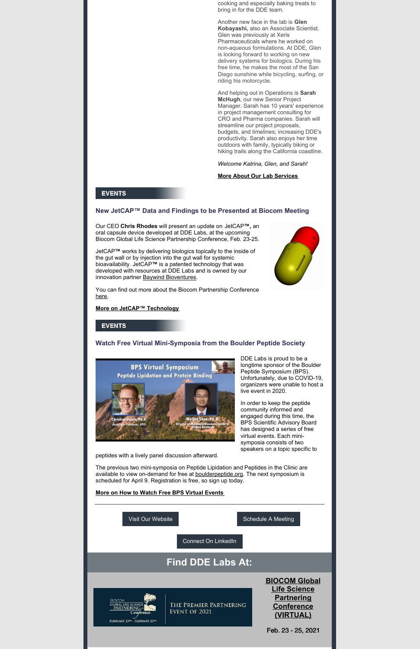cooking and especially baking treats to bring in for the DDE team.

Another new face in the lab is **Glen Kobayashi,** also an Associate Scientist. Glen was previously at Xeris Pharmaceuticals where he worked on non-aqueous formulations. At DDE, Glen is looking forward to working on new delivery systems for biologics. During his free time, he makes the most of the San Diego sunshine while bicycling, surfing, or riding his motorcycle.

JetCAP**™** works by delivering biologics topically to the inside of the gut wall or by injection into the gut wall for systemic bioavailability. JetCAP**™** is a patented technology that was developed with resources at DDE Labs and is owned by our innovation partner Baywind [Bioventures](http://baywindbio.com/).

And helping out in Operations is **Sarah McHugh**, our new Senior Project Manager. Sarah has 10 years' experience in project management consulting for CRO and Pharma companies. Sarah will streamline our project proposals, budgets, and timelines; increasing DDE's productivity. Sarah also enjoys her time outdoors with family, typically biking or hiking trails along the California coastline.

*Welcome Katrina, Glen, and Sarah!*

#### **More About Our Lab [Services](http://drugdeliveryexperts.com/capabilities-new/)**

### **EVENTS**

## **New JetCAP™ Data and Findings to be Presented at Biocom Meeting**

The previous two mini-symposia on Peptide Lipidation and Peptides in the Clinic are available to view on-demand for free at **[boulderpeptide.org](http://boulderpeptide.org)**. The next symposium is

Our CEO **Chris Rhodes** will present an update on JetCAP**™,** an oral capsule device developed at DDE Labs, at the upcoming Biocom Global Life Science Partnership Conference, Feb. 23-25.

You can find out more about the Biocom Partnership Conference [here](https://biocomglobalpartnering.org/).

#### **More on JetCAP™ [Technology](http://baywindbio.com/jetcap)**

## **EVENTS**

### **Watch Free Virtual Mini-Symposia from the Boulder Peptide Society**



DDE Labs is proud to be a longtime sponsor of the Boulder Peptide Symposium (BPS). Unfortunately, due to COVID-19, organizers were unable to host a live event in 2020.

In order to keep the peptide community informed and engaged during this time, the BPS Scientific Advisory Board has designed a series of free virtual events. Each minisymposia consists of two speakers on a topic specific to

peptides with a lively panel discussion afterward.



#### **More on How to Watch Free BPS Virtual [Events](https://www.boulderpeptide.org/virtual-bps/)**